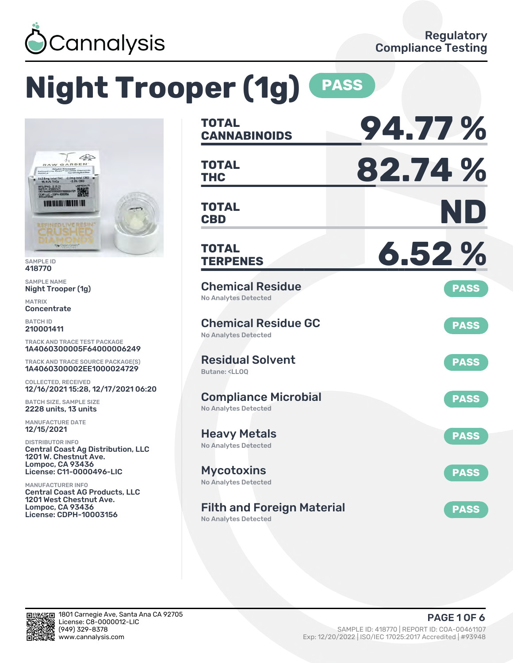

# **Night Trooper (1g) PASS**



SAMPLE ID 418770

SAMPLE NAME Night Trooper (1g)

MATRIX **Concentrate** 

BATCH ID 210001411

TRACK AND TRACE TEST PACKAGE 1A4060300005F64000006249

TRACK AND TRACE SOURCE PACKAGE(S) 1A4060300002EE1000024729

COLLECTED, RECEIVED 12/16/2021 15:28, 12/17/2021 06:20

BATCH SIZE, SAMPLE SIZE 2228 units, 13 units

MANUFACTURE DATE 12/15/2021

DISTRIBUTOR INFO Central Coast Ag Distribution, LLC 1201 W. Chestnut Ave. Lompoc, CA 93436 License: C11-0000496-LIC

MANUFACTURER INFO Central Coast AG Products, LLC 1201 West Chestnut Ave. Lompoc, CA 93436 License: CDPH-10003156

| <b>TOTAL</b><br><b>CANNABINOIDS</b>                                          | 94.77%      |
|------------------------------------------------------------------------------|-------------|
| <b>TOTAL</b><br><b>THC</b>                                                   | 82.74%      |
| <b>TOTAL</b><br><b>CBD</b>                                                   | ND          |
| <b>TOTAL</b><br><b>TERPENES</b>                                              | 6.52%       |
| <b>Chemical Residue</b><br><b>No Analytes Detected</b>                       | <b>PASS</b> |
| <b>Chemical Residue GC</b><br><b>No Analytes Detected</b>                    | <b>PASS</b> |
| <b>Residual Solvent</b><br>Butane: <ll00< td=""><td><b>PASS</b></td></ll00<> | <b>PASS</b> |
| <b>Compliance Microbial</b><br><b>No Analytes Detected</b>                   | <b>PASS</b> |
| <b>Heavy Metals</b><br><b>No Analytes Detected</b>                           | <b>PASS</b> |
| <b>Mycotoxins</b><br>No Analytes Detected                                    | <b>PASS</b> |
| <b>Filth and Foreign Material</b><br><b>No Analytes Detected</b>             | <b>PASS</b> |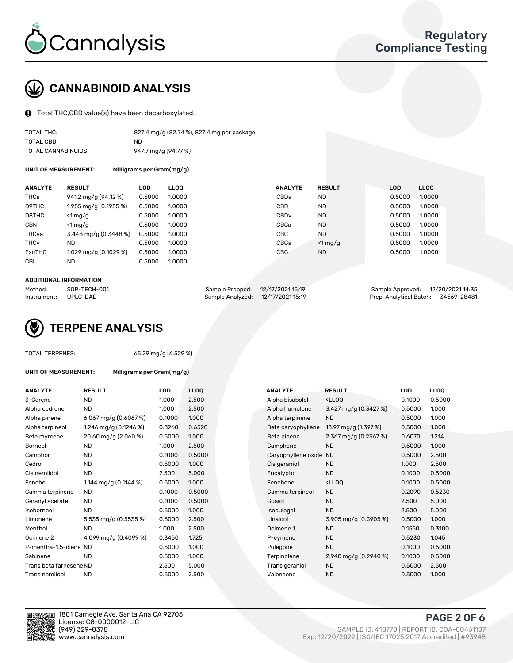

# CANNABINOID ANALYSIS

Total THC,CBD value(s) have been decarboxylated.

| TOTAL THC:          | 827.4 mg/g (82.74 %), 827.4 mg per package |
|---------------------|--------------------------------------------|
| TOTAL CBD:          | ND.                                        |
| TOTAL CANNABINOIDS: | 947.7 mg/g (94.77 %)                       |

UNIT OF MEASUREMENT: Milligrams per Gram(mg/g)

| <b>ANALYTE</b>         | <b>RESULT</b>           | <b>LOD</b> | <b>LLOO</b> | <b>ANALYTE</b>   | <b>RESULT</b> | <b>LOD</b> | LL <sub>00</sub> |
|------------------------|-------------------------|------------|-------------|------------------|---------------|------------|------------------|
| THCa                   | 941.2 mg/g (94.12 %)    | 0.5000     | 1.0000      | CBDa             | <b>ND</b>     | 0.5000     | 1.0000           |
| D9THC                  | 1.955 mg/g (0.1955 %)   | 0.5000     | 1.0000      | CBD              | <b>ND</b>     | 0.5000     | 1.0000           |
| D8THC                  | $<$ 1 mg/g              | 0.5000     | 1.0000      | CBD <sub>v</sub> | <b>ND</b>     | 0.5000     | 1.0000           |
| <b>CBN</b>             | $<$ 1 mg/g              | 0.5000     | 1.0000      | CBCa             | <b>ND</b>     | 0.5000     | 1.0000           |
| THCva                  | 3.448 mg/g (0.3448 %)   | 0.5000     | 1.0000      | CBC.             | <b>ND</b>     | 0.5000     | 1.0000           |
| <b>THC<sub>v</sub></b> | ND                      | 0.5000     | 1.0000      | CBGa             | $<$ 1 mg/g    | 0.5000     | 1.0000           |
| ExoTHC                 | 1.029 mg/g $(0.1029\%)$ | 0.5000     | 1.0000      | <b>CBG</b>       | <b>ND</b>     | 0.5000     | 1.0000           |
| <b>CBL</b>             | ND                      | 0.5000     | 1.0000      |                  |               |            |                  |

### ADDITIONAL INFORMATION

| Method:     | SOP-TECH-001 | Sample Prepped: 12/17/2021 15:19  | Sample Approved: 12/20/202114:35   |  |
|-------------|--------------|-----------------------------------|------------------------------------|--|
| Instrument: | UPLC-DAD     | Sample Analyzed: 12/17/2021 15:19 | Prep-Analytical Batch: 34569-28481 |  |



TOTAL TERPENES: 65.29 mg/g (6.529 %)

| <b>ANALYTE</b>          | <b>RESULT</b>           | LOD    | <b>LLOQ</b> | <b>ANALYTE</b>         | <b>RESULT</b>                                      | LOD    | <b>LLOQ</b> |
|-------------------------|-------------------------|--------|-------------|------------------------|----------------------------------------------------|--------|-------------|
| 3-Carene                | <b>ND</b>               | 1.000  | 2.500       | Alpha bisabolol        | <lloq< td=""><td>0.1000</td><td>0.500</td></lloq<> | 0.1000 | 0.500       |
| Alpha cedrene           | <b>ND</b>               | 1.000  | 2.500       | Alpha humulene         | 3.427 mg/g (0.3427 %)                              | 0.5000 | 1.000       |
| Alpha pinene            | 6.067 mg/g $(0.6067%)$  | 0.1000 | 1.000       | Alpha terpinene        | <b>ND</b>                                          | 0.5000 | 1.000       |
| Alpha terpineol         | 1.246 mg/g $(0.1246\%)$ | 0.3260 | 0.6520      | Beta caryophyllene     | 13.97 mg/g (1.397 %)                               | 0.5000 | 1.000       |
| Beta myrcene            | 20.60 mg/g (2.060 %)    | 0.5000 | 1.000       | Beta pinene            | 2.367 mg/g $(0.2367%)$                             | 0.6070 | 1.214       |
| Borneol                 | <b>ND</b>               | 1.000  | 2.500       | Camphene               | <b>ND</b>                                          | 0.5000 | 1.000       |
| Camphor                 | <b>ND</b>               | 0.1000 | 0.5000      | Caryophyllene oxide ND |                                                    | 0.5000 | 2.500       |
| Cedrol                  | <b>ND</b>               | 0.5000 | 1.000       | Cis geraniol           | <b>ND</b>                                          | 1.000  | 2.500       |
| Cis nerolidol           | <b>ND</b>               | 2.500  | 5.000       | Eucalyptol             | <b>ND</b>                                          | 0.1000 | 0.500       |
| Fenchol                 | 1.144 mg/g $(0.1144\%)$ | 0.5000 | 1.000       | Fenchone               | <lloq< td=""><td>0.1000</td><td>0.500</td></lloq<> | 0.1000 | 0.500       |
| Gamma terpinene         | ND                      | 0.1000 | 0.5000      | Gamma terpineol        | <b>ND</b>                                          | 0.2090 | 0.523       |
| Geranyl acetate         | <b>ND</b>               | 0.1000 | 0.5000      | Guaiol                 | <b>ND</b>                                          | 2.500  | 5.000       |
| Isoborneol              | <b>ND</b>               | 0.5000 | 1.000       | Isopulegol             | <b>ND</b>                                          | 2.500  | 5.000       |
| Limonene                | 5.535 mg/g (0.5535 %)   | 0.5000 | 2.500       | Linalool               | 3.905 mg/g $(0.3905\%)$                            | 0.5000 | 1.000       |
| Menthol                 | <b>ND</b>               | 1.000  | 2.500       | Ocimene 1              | <b>ND</b>                                          | 0.1550 | 0.310       |
| Ocimene 2               | 4.099 mg/g (0.4099 %)   | 0.3450 | 1.725       | P-cymene               | <b>ND</b>                                          | 0.5230 | 1.045       |
| P-mentha-1,5-diene ND   |                         | 0.5000 | 1.000       | Pulegone               | <b>ND</b>                                          | 0.1000 | 0.500       |
| Sabinene                | <b>ND</b>               | 0.5000 | 1.000       | Terpinolene            | 2.940 mg/g (0.2940 %)                              | 0.1000 | 0.500       |
| Trans beta farnesene ND |                         | 2.500  | 5.000       | Trans geraniol         | <b>ND</b>                                          | 0.5000 | 2.500       |
| Trans nerolidol         | <b>ND</b>               | 0.5000 | 2.500       | Valencene              | <b>ND</b>                                          | 0.5000 | 1.000       |

UNIT OF MEASUREMENT: Milligrams per Gram(mg/g)

| ANALYTE                 | <b>RESULT</b>           | <b>LOD</b> | <b>LLOQ</b> | <b>ANALYTE</b>         | <b>RESULT</b>                                       | LOD    | <b>LLOQ</b> |
|-------------------------|-------------------------|------------|-------------|------------------------|-----------------------------------------------------|--------|-------------|
| 3-Carene                | <b>ND</b>               | 1.000      | 2.500       | Alpha bisabolol        | <lloq< td=""><td>0.1000</td><td>0.5000</td></lloq<> | 0.1000 | 0.5000      |
| Alpha cedrene           | <b>ND</b>               | 1.000      | 2.500       | Alpha humulene         | 3.427 mg/g $(0.3427%)$                              | 0.5000 | 1.000       |
| Alpha pinene            | 6.067 mg/g $(0.6067%)$  | 0.1000     | 1.000       | Alpha terpinene        | <b>ND</b>                                           | 0.5000 | 1.000       |
| Alpha terpineol         | 1.246 mg/g $(0.1246\%)$ | 0.3260     | 0.6520      | Beta caryophyllene     | 13.97 mg/g (1.397 %)                                | 0.5000 | 1.000       |
| Beta myrcene            | 20.60 mg/g (2.060 %)    | 0.5000     | 1.000       | Beta pinene            | 2.367 mg/g $(0.2367%)$                              | 0.6070 | 1.214       |
| Borneol                 | <b>ND</b>               | 1.000      | 2.500       | Camphene               | <b>ND</b>                                           | 0.5000 | 1.000       |
| Camphor                 | <b>ND</b>               | 0.1000     | 0.5000      | Caryophyllene oxide ND |                                                     | 0.5000 | 2.500       |
| Cedrol                  | <b>ND</b>               | 0.5000     | 1.000       | Cis geraniol           | <b>ND</b>                                           | 1.000  | 2.500       |
| Cis nerolidol           | <b>ND</b>               | 2.500      | 5.000       | Eucalyptol             | <b>ND</b>                                           | 0.1000 | 0.5000      |
| Fenchol                 | 1.144 mg/g $(0.1144\%)$ | 0.5000     | 1.000       | Fenchone               | <lloq< td=""><td>0.1000</td><td>0.5000</td></lloq<> | 0.1000 | 0.5000      |
| Gamma terpinene         | <b>ND</b>               | 0.1000     | 0.5000      | Gamma terpineol        | <b>ND</b>                                           | 0.2090 | 0.5230      |
| Geranyl acetate         | <b>ND</b>               | 0.1000     | 0.5000      | Guaiol                 | <b>ND</b>                                           | 2.500  | 5.000       |
| Isoborneol              | <b>ND</b>               | 0.5000     | 1.000       | Isopulegol             | <b>ND</b>                                           | 2.500  | 5.000       |
| Limonene                | 5.535 mg/g $(0.5535%)$  | 0.5000     | 2.500       | Linalool               | 3.905 mg/g (0.3905 %)                               | 0.5000 | 1.000       |
| Menthol                 | <b>ND</b>               | 1.000      | 2.500       | Ocimene 1              | <b>ND</b>                                           | 0.1550 | 0.3100      |
| Ocimene 2               | 4.099 mg/g (0.4099 %)   | 0.3450     | 1.725       | P-cymene               | <b>ND</b>                                           | 0.5230 | 1.045       |
| P-mentha-1,5-diene ND   |                         | 0.5000     | 1.000       | Pulegone               | <b>ND</b>                                           | 0.1000 | 0.5000      |
| Sabinene                | <b>ND</b>               | 0.5000     | 1.000       | Terpinolene            | 2.940 mg/g (0.2940 %)                               | 0.1000 | 0.5000      |
| Trans beta farnesene ND |                         | 2.500      | 5.000       | Trans geraniol         | <b>ND</b>                                           | 0.5000 | 2.500       |
| Trans nerolidol         | <b>ND</b>               | 0.5000     | 2.500       | Valencene              | <b>ND</b>                                           | 0.5000 | 1.000       |



1801 Carnegie Ave, Santa Ana CA 92705 License: C8-0000012-LIC<br>(949) 329-8378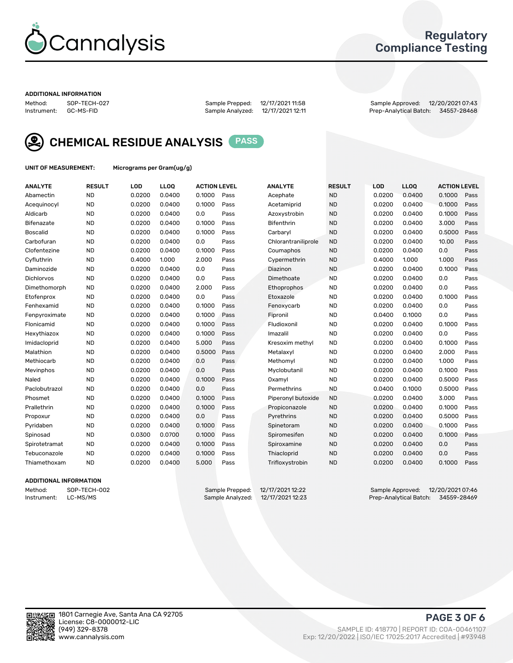

## Regulatory Compliance Testing

### ADDITIONAL INFORMATION

Method: SOP-TECH-027 Sample Prepped: 12/17/2021 11:58 Sample Approved: 12/20/2021 07:43 Prep-Analytical Batch: 34557-28468



CHEMICAL RESIDUE ANALYSIS PASS

UNIT OF MEASUREMENT: Micrograms per Gram(ug/g)

| <b>ANALYTE</b>    | <b>RESULT</b> | LOD    | LL <sub>OO</sub> | <b>ACTION LEVEL</b> |      | <b>ANALYTE</b>      | <b>RESULT</b> | LOD    | <b>LLOQ</b> | <b>ACTION LEVEL</b> |      |
|-------------------|---------------|--------|------------------|---------------------|------|---------------------|---------------|--------|-------------|---------------------|------|
| Abamectin         | <b>ND</b>     | 0.0200 | 0.0400           | 0.1000              | Pass | Acephate            | <b>ND</b>     | 0.0200 | 0.0400      | 0.1000              | Pass |
| Acequinocyl       | <b>ND</b>     | 0.0200 | 0.0400           | 0.1000              | Pass | Acetamiprid         | <b>ND</b>     | 0.0200 | 0.0400      | 0.1000              | Pass |
| Aldicarb          | <b>ND</b>     | 0.0200 | 0.0400           | 0.0                 | Pass | Azoxystrobin        | <b>ND</b>     | 0.0200 | 0.0400      | 0.1000              | Pass |
| Bifenazate        | <b>ND</b>     | 0.0200 | 0.0400           | 0.1000              | Pass | <b>Bifenthrin</b>   | <b>ND</b>     | 0.0200 | 0.0400      | 3.000               | Pass |
| <b>Boscalid</b>   | <b>ND</b>     | 0.0200 | 0.0400           | 0.1000              | Pass | Carbaryl            | <b>ND</b>     | 0.0200 | 0.0400      | 0.5000              | Pass |
| Carbofuran        | <b>ND</b>     | 0.0200 | 0.0400           | 0.0                 | Pass | Chlorantraniliprole | <b>ND</b>     | 0.0200 | 0.0400      | 10.00               | Pass |
| Clofentezine      | <b>ND</b>     | 0.0200 | 0.0400           | 0.1000              | Pass | Coumaphos           | <b>ND</b>     | 0.0200 | 0.0400      | 0.0                 | Pass |
| Cyfluthrin        | <b>ND</b>     | 0.4000 | 1.000            | 2.000               | Pass | Cypermethrin        | <b>ND</b>     | 0.4000 | 1.000       | 1.000               | Pass |
| Daminozide        | <b>ND</b>     | 0.0200 | 0.0400           | 0.0                 | Pass | Diazinon            | <b>ND</b>     | 0.0200 | 0.0400      | 0.1000              | Pass |
| <b>Dichlorvos</b> | <b>ND</b>     | 0.0200 | 0.0400           | 0.0                 | Pass | Dimethoate          | <b>ND</b>     | 0.0200 | 0.0400      | 0.0                 | Pass |
| Dimethomorph      | <b>ND</b>     | 0.0200 | 0.0400           | 2.000               | Pass | Ethoprophos         | <b>ND</b>     | 0.0200 | 0.0400      | 0.0                 | Pass |
| Etofenprox        | <b>ND</b>     | 0.0200 | 0.0400           | 0.0                 | Pass | Etoxazole           | <b>ND</b>     | 0.0200 | 0.0400      | 0.1000              | Pass |
| Fenhexamid        | <b>ND</b>     | 0.0200 | 0.0400           | 0.1000              | Pass | Fenoxycarb          | <b>ND</b>     | 0.0200 | 0.0400      | 0.0                 | Pass |
| Fenpyroximate     | <b>ND</b>     | 0.0200 | 0.0400           | 0.1000              | Pass | Fipronil            | <b>ND</b>     | 0.0400 | 0.1000      | 0.0                 | Pass |
| Flonicamid        | <b>ND</b>     | 0.0200 | 0.0400           | 0.1000              | Pass | Fludioxonil         | <b>ND</b>     | 0.0200 | 0.0400      | 0.1000              | Pass |
| Hexythiazox       | <b>ND</b>     | 0.0200 | 0.0400           | 0.1000              | Pass | Imazalil            | <b>ND</b>     | 0.0200 | 0.0400      | 0.0                 | Pass |
| Imidacloprid      | <b>ND</b>     | 0.0200 | 0.0400           | 5.000               | Pass | Kresoxim methyl     | <b>ND</b>     | 0.0200 | 0.0400      | 0.1000              | Pass |
| Malathion         | <b>ND</b>     | 0.0200 | 0.0400           | 0.5000              | Pass | Metalaxyl           | <b>ND</b>     | 0.0200 | 0.0400      | 2.000               | Pass |
| Methiocarb        | <b>ND</b>     | 0.0200 | 0.0400           | 0.0                 | Pass | Methomyl            | <b>ND</b>     | 0.0200 | 0.0400      | 1.000               | Pass |
| Mevinphos         | <b>ND</b>     | 0.0200 | 0.0400           | 0.0                 | Pass | Myclobutanil        | <b>ND</b>     | 0.0200 | 0.0400      | 0.1000              | Pass |
| Naled             | <b>ND</b>     | 0.0200 | 0.0400           | 0.1000              | Pass | Oxamyl              | <b>ND</b>     | 0.0200 | 0.0400      | 0.5000              | Pass |
| Paclobutrazol     | <b>ND</b>     | 0.0200 | 0.0400           | 0.0                 | Pass | Permethrins         | <b>ND</b>     | 0.0400 | 0.1000      | 0.5000              | Pass |
| Phosmet           | <b>ND</b>     | 0.0200 | 0.0400           | 0.1000              | Pass | Piperonyl butoxide  | <b>ND</b>     | 0.0200 | 0.0400      | 3.000               | Pass |
| Prallethrin       | <b>ND</b>     | 0.0200 | 0.0400           | 0.1000              | Pass | Propiconazole       | <b>ND</b>     | 0.0200 | 0.0400      | 0.1000              | Pass |
| Propoxur          | <b>ND</b>     | 0.0200 | 0.0400           | 0.0                 | Pass | Pyrethrins          | <b>ND</b>     | 0.0200 | 0.0400      | 0.5000              | Pass |
| Pyridaben         | <b>ND</b>     | 0.0200 | 0.0400           | 0.1000              | Pass | Spinetoram          | <b>ND</b>     | 0.0200 | 0.0400      | 0.1000              | Pass |
| Spinosad          | <b>ND</b>     | 0.0300 | 0.0700           | 0.1000              | Pass | Spiromesifen        | <b>ND</b>     | 0.0200 | 0.0400      | 0.1000              | Pass |
| Spirotetramat     | <b>ND</b>     | 0.0200 | 0.0400           | 0.1000              | Pass | Spiroxamine         | <b>ND</b>     | 0.0200 | 0.0400      | 0.0                 | Pass |
| Tebuconazole      | <b>ND</b>     | 0.0200 | 0.0400           | 0.1000              | Pass | Thiacloprid         | <b>ND</b>     | 0.0200 | 0.0400      | 0.0                 | Pass |
| Thiamethoxam      | <b>ND</b>     | 0.0200 | 0.0400           | 5.000               | Pass | Trifloxystrobin     | <b>ND</b>     | 0.0200 | 0.0400      | 0.1000              | Pass |
|                   |               |        |                  |                     |      |                     |               |        |             |                     |      |

### ADDITIONAL INFORMATION

Method: SOP-TECH-002 Sample Prepped: 12/17/2021 12:22 Sample Approved: 12/20/2021 07:46 Prep-Analytical Batch: 34559-28469

PAGE 3 OF 6

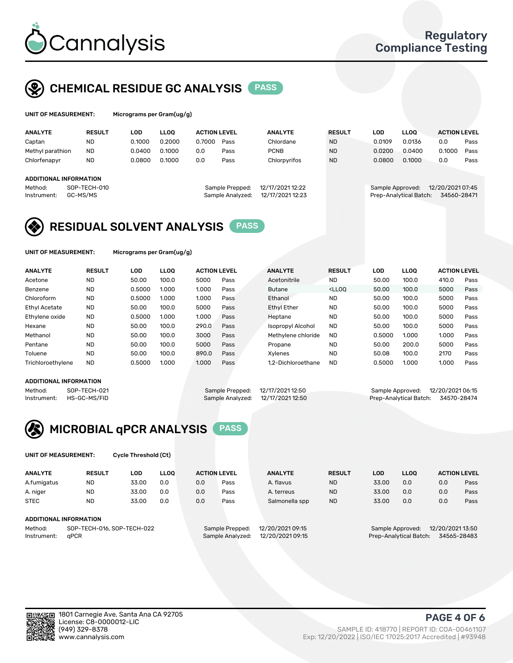

# CHEMICAL RESIDUE GC ANALYSIS PASS

| UNIT OF MEASUREMENT:          |               | Micrograms per Gram(ug/g) |             |                     |                 |                  |               |                  |             |                     |      |  |  |
|-------------------------------|---------------|---------------------------|-------------|---------------------|-----------------|------------------|---------------|------------------|-------------|---------------------|------|--|--|
| <b>ANALYTE</b>                | <b>RESULT</b> | LOD                       | <b>LLOO</b> | <b>ACTION LEVEL</b> |                 | <b>ANALYTE</b>   | <b>RESULT</b> | LOD              | <b>LLOO</b> | <b>ACTION LEVEL</b> |      |  |  |
| Captan                        | <b>ND</b>     | 0.1000                    | 0.2000      | 0.7000              | Pass            | Chlordane        | <b>ND</b>     | 0.0109           | 0.0136      | 0.0                 | Pass |  |  |
| Methyl parathion              | <b>ND</b>     | 0.0400                    | 0.1000      | 0.0                 | Pass            | <b>PCNB</b>      | <b>ND</b>     | 0.0200           | 0.0400      | 0.1000              | Pass |  |  |
| Chlorfenapyr                  | ND            | 0.0800                    | 0.1000      | 0.0                 | Pass            | Chlorpyrifos     | <b>ND</b>     | 0.0800           | 0.1000      | 0.0                 | Pass |  |  |
| <b>ADDITIONAL INFORMATION</b> |               |                           |             |                     |                 |                  |               |                  |             |                     |      |  |  |
| Method:                       | SOP-TECH-010  |                           |             |                     | Sample Prepped: | 12/17/2021 12:22 |               | Sample Approved: |             | 12/20/2021 07:45    |      |  |  |

| :ppea:  | 12/1//2021 12:22 |  |
|---------|------------------|--|
| alyzed: | 12/17/2021 12:23 |  |
|         |                  |  |

### Instrument: GC-MS/MS Sample Analyzed: 12/17/2021 12:23 Prep-Analytical Batch: 34560-28471

# RESIDUAL SOLVENT ANALYSIS PASS

UNIT OF MEASUREMENT: Micrograms per Gram(ug/g)

| <b>ANALYTE</b>       | <b>RESULT</b> | LOD    | <b>LLOO</b> | <b>ACTION LEVEL</b> |      | <b>ANALYTE</b>     | <b>RESULT</b>                                                               | LOD    | LLOO  | <b>ACTION LEVEL</b> |      |
|----------------------|---------------|--------|-------------|---------------------|------|--------------------|-----------------------------------------------------------------------------|--------|-------|---------------------|------|
| Acetone              | <b>ND</b>     | 50.00  | 100.0       | 5000                | Pass | Acetonitrile       | <b>ND</b>                                                                   | 50.00  | 100.0 | 410.0               | Pass |
| Benzene              | <b>ND</b>     | 0.5000 | 1.000       | 1.000               | Pass | <b>Butane</b>      | <lloo< td=""><td>50.00</td><td>100.0</td><td>5000</td><td>Pass</td></lloo<> | 50.00  | 100.0 | 5000                | Pass |
| Chloroform           | <b>ND</b>     | 0.5000 | 1.000       | 1.000               | Pass | Ethanol            | <b>ND</b>                                                                   | 50.00  | 100.0 | 5000                | Pass |
| <b>Ethyl Acetate</b> | <b>ND</b>     | 50.00  | 100.0       | 5000                | Pass | <b>Ethyl Ether</b> | <b>ND</b>                                                                   | 50.00  | 100.0 | 5000                | Pass |
| Ethylene oxide       | <b>ND</b>     | 0.5000 | 1.000       | 1.000               | Pass | Heptane            | <b>ND</b>                                                                   | 50.00  | 100.0 | 5000                | Pass |
| Hexane               | <b>ND</b>     | 50.00  | 100.0       | 290.0               | Pass | Isopropyl Alcohol  | <b>ND</b>                                                                   | 50.00  | 100.0 | 5000                | Pass |
| Methanol             | <b>ND</b>     | 50.00  | 100.0       | 3000                | Pass | Methylene chloride | <b>ND</b>                                                                   | 0.5000 | 1.000 | 1.000               | Pass |
| Pentane              | <b>ND</b>     | 50.00  | 100.0       | 5000                | Pass | Propane            | <b>ND</b>                                                                   | 50.00  | 200.0 | 5000                | Pass |
| Toluene              | <b>ND</b>     | 50.00  | 100.0       | 890.0               | Pass | Xvlenes            | <b>ND</b>                                                                   | 50.08  | 100.0 | 2170                | Pass |
| Trichloroethylene    | <b>ND</b>     | 0.5000 | 1.000       | 1.000               | Pass | 1.2-Dichloroethane | <b>ND</b>                                                                   | 0.5000 | 1.000 | 1.000               | Pass |

### ADDITIONAL INFORMATION

Method: SOP-TECH-021 Sample Prepped: 12/17/2021 12:50 Sample Approved: 12/20/2021 06:15<br>Instrument: HS-GC-MS/FID Sample Analyzed: 12/17/2021 12:50 Prep-Analytical Batch: 34570-28474

Prep-Analytical Batch: 34570-28474



UNIT OF MEASUREMENT: Cycle Threshold (Ct)

| <b>ANALYTE</b> | <b>RESULT</b>              | LOD   | <b>LLOO</b> |     | <b>ACTION LEVEL</b> | <b>ANALYTE</b>   | <b>RESULT</b> | <b>LOD</b> | <b>LLOO</b>            |                  | <b>ACTION LEVEL</b> |
|----------------|----------------------------|-------|-------------|-----|---------------------|------------------|---------------|------------|------------------------|------------------|---------------------|
| A.fumigatus    | <b>ND</b>                  | 33.00 | 0.0         | 0.0 | Pass                | A. flavus        | <b>ND</b>     | 33.00      | 0.0                    | 0.0              | Pass                |
| A. niger       | <b>ND</b>                  | 33.00 | 0.0         | 0.0 | Pass                | A. terreus       | <b>ND</b>     | 33.00      | 0.0                    | 0.0              | Pass                |
| <b>STEC</b>    | <b>ND</b>                  | 33.00 | 0.0         | 0.0 | Pass                | Salmonella spp   | <b>ND</b>     | 33.00      | 0.0                    | 0.0              | Pass                |
|                | ADDITIONAL INFORMATION     |       |             |     |                     |                  |               |            |                        |                  |                     |
| Method:        | SOP-TECH-016, SOP-TECH-022 |       |             |     | Sample Prepped:     | 12/20/2021 09:15 |               |            | Sample Approved:       | 12/20/2021 13:50 |                     |
| Instrument:    | aPCR                       |       |             |     | Sample Analyzed:    | 12/20/2021 09:15 |               |            | Prep-Analytical Batch: |                  | 34565-28483         |

### PAGE 4 OF 6

(949) 329-8378 SAMPLE ID: 418770 | REPORT ID: COA-00461107 Exp: 12/20/2022 | ISO/IEC 17025:2017 Accredited | #93948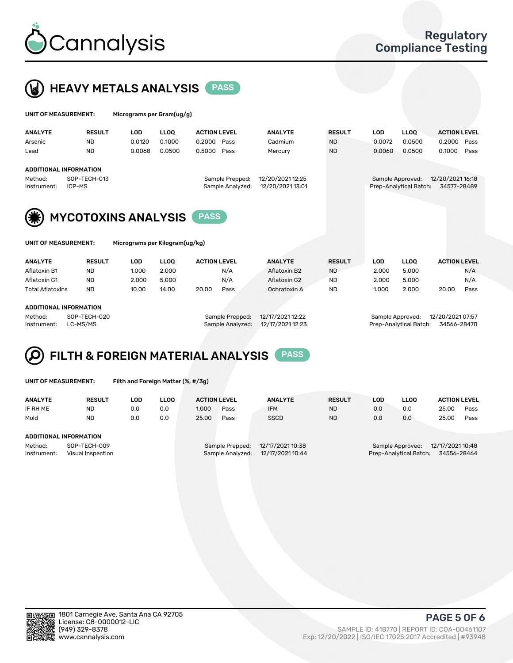



| UNIT OF MEASUREMENT: |                               | Micrograms per Gram(ug/g)      |             |                     |                  |               |            |                        |                     |  |  |
|----------------------|-------------------------------|--------------------------------|-------------|---------------------|------------------|---------------|------------|------------------------|---------------------|--|--|
| <b>ANALYTE</b>       | <b>RESULT</b>                 | <b>LOD</b>                     | <b>LLOO</b> | <b>ACTION LEVEL</b> | <b>ANALYTE</b>   | <b>RESULT</b> | <b>LOD</b> | <b>LLOO</b>            | <b>ACTION LEVEL</b> |  |  |
| Arsenic              | <b>ND</b>                     | 0.0120                         | 0.1000      | 0.2000<br>Pass      | Cadmium          | <b>ND</b>     | 0.0072     | 0.0500                 | 0.2000<br>Pass      |  |  |
| Lead                 | <b>ND</b>                     | 0.0068                         | 0.0500      | 0.5000<br>Pass      | Mercury          | <b>ND</b>     | 0.0060     | 0.0500                 | 0.1000<br>Pass      |  |  |
|                      | <b>ADDITIONAL INFORMATION</b> |                                |             |                     |                  |               |            |                        |                     |  |  |
| Method:              | SOP-TECH-013                  |                                |             | Sample Prepped:     | 12/20/2021 12:25 |               |            | Sample Approved:       | 12/20/2021 16:18    |  |  |
| Instrument:          | ICP-MS                        |                                |             | Sample Analyzed:    | 12/20/2021 13:01 |               |            | Prep-Analytical Batch: | 34577-28489         |  |  |
| (类)                  | <b>MYCOTOXINS ANALYSIS</b>    |                                |             | <b>PASS</b>         |                  |               |            |                        |                     |  |  |
| UNIT OF MEASUREMENT: |                               | Micrograms per Kilogram(ug/kg) |             |                     |                  |               |            |                        |                     |  |  |

ANALYTE RESULT LOD LLOQ ACTION LEVEL ANALYTE RESULT LOD LLOQ ACTION LEVEL Aflatoxin B1 ND 1.000 2.000 N/A Aflatoxin B2 ND 2.000 5.000 N/A Aflatoxin G1 ND 2.000 5.000 N/A Aflatoxin G2 ND 2.000 5.000 N/A Total Aflatoxins ND 10.00 14.00 20.00 Pass Ochratoxin A ND 1.000 2.000 20.00 Pass ADDITIONAL INFORMATION Method: SOP-TECH-020 Sample Prepped: 12/17/2021 12:22 Sample Approved: 12/20/2021 07:57

Instrument: LC-MS/MS Sample Analyzed: 12/17/2021 12:23 Prep-Analytical Batch: 34566-28470

# FILTH & FOREIGN MATERIAL ANALYSIS PASS

|  | UNIT OF MEASUREMENT: |  |
|--|----------------------|--|
|  |                      |  |

Filth and Foreign Matter (%, #/3g)

| <b>ANALYTE</b>                                              | <b>RESULT</b> | LOD | <b>LLOO</b> | <b>ACTION LEVEL</b>                                                         |      | <b>ANALYTE</b> | <b>RESULT</b>                                                                 | LOD | <b>LLOO</b> | <b>ACTION LEVEL</b> |      |
|-------------------------------------------------------------|---------------|-----|-------------|-----------------------------------------------------------------------------|------|----------------|-------------------------------------------------------------------------------|-----|-------------|---------------------|------|
| IF RH ME                                                    | <b>ND</b>     | 0.0 | 0.0         | 1.000                                                                       | Pass | <b>IFM</b>     | <b>ND</b>                                                                     | 0.0 | 0.0         | 25.00               | Pass |
| Mold                                                        | <b>ND</b>     | 0.0 | 0.0         | 25.00                                                                       | Pass | <b>SSCD</b>    | <b>ND</b>                                                                     | 0.0 | 0.0         | 25.00               | Pass |
| ADDITIONAL INFORMATION                                      |               |     |             |                                                                             |      |                |                                                                               |     |             |                     |      |
| Method:<br>SOP-TECH-009<br>Instrument:<br>Visual Inspection |               |     |             | 12/17/2021 10:38<br>Sample Prepped:<br>12/17/2021 10:44<br>Sample Analyzed: |      |                | 12/17/2021 10:48<br>Sample Approved:<br>34556-28464<br>Prep-Analytical Batch: |     |             |                     |      |



PAGE 5 OF 6